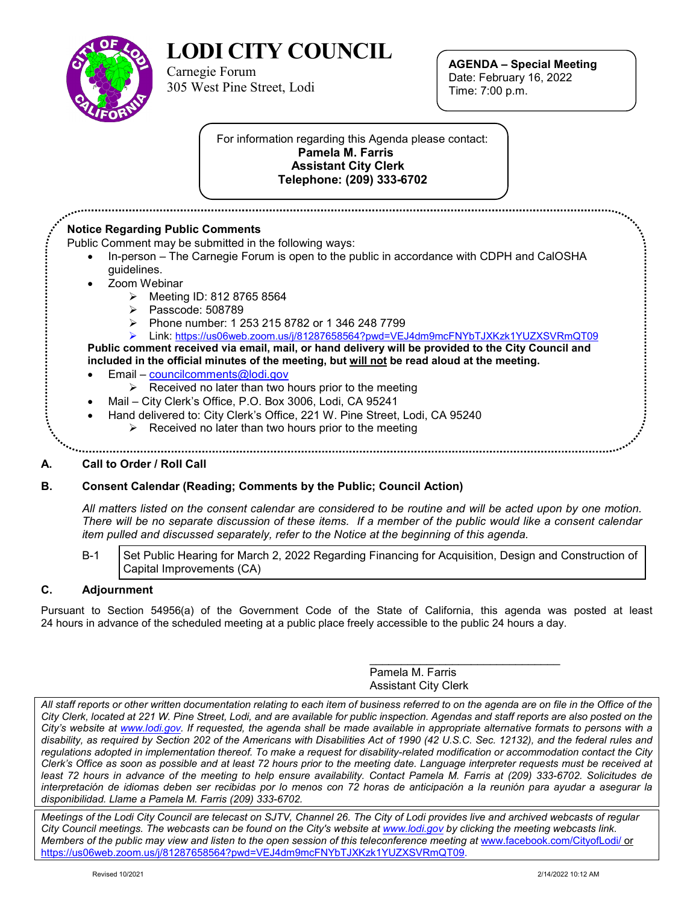

# **LODI CITY COUNCIL**

Carnegie Forum 305 West Pine Street, Lodi

**AGENDA – Special Meeting** Date: February 16, 2022 Time: 7:00 p.m.

 For information regarding this Agenda please contact:  **Pamela M. Farris Assistant City Clerk Telephone: (209) 333-6702**

## **Notice Regarding Public Comments**

Public Comment may be submitted in the following ways:

- In-person The Carnegie Forum is open to the public in accordance with CDPH and CalOSHA guidelines.
- Zoom Webinar
	- ▶ Meeting ID: 812 8765 8564
		- Passcode: 508789
		- Phone number: 1 253 215 8782 or 1 346 248 7799
		- Link: <https://us06web.zoom.us/j/81287658564?pwd=VEJ4dm9mcFNYbTJXKzk1YUZXSVRmQT09>

**Public comment received via email, mail, or hand delivery will be provided to the City Council and included in the official minutes of the meeting, but will not be read aloud at the meeting.**

- Email [councilcomments@lodi.gov](mailto:councilcomments@lodi.gov)
	- $\triangleright$  Received no later than two hours prior to the meeting
- Mail City Clerk's Office, P.O. Box 3006, Lodi, CA 95241
- Hand delivered to: City Clerk's Office, 221 W. Pine Street, Lodi, CA 95240  $\triangleright$  Received no later than two hours prior to the meeting

#### **A. Call to Order / Roll Call**

#### **B. Consent Calendar (Reading; Comments by the Public; Council Action)**

*All matters listed on the consent calendar are considered to be routine and will be acted upon by one motion. There will be no separate discussion of these items. If a member of the public would like a consent calendar item pulled and discussed separately, refer to the Notice at the beginning of this agenda.*

B-1 [Set Public Hearing for March 2, 2022 Regarding Financing for Acquisition, Design and Construction of](#page-1-0)  Capital Improvements (CA)

### **C. Adjournment**

Pursuant to Section 54956(a) of the Government Code of the State of California, this agenda was posted at least 24 hours in advance of the scheduled meeting at a public place freely accessible to the public 24 hours a day.

> \_\_\_\_\_\_\_\_\_\_\_\_\_\_\_\_\_\_\_\_\_\_\_\_\_\_\_\_\_\_ Pamela M. Farris Assistant City Clerk

*All staff reports or other written documentation relating to each item of business referred to on the agenda are on file in the Office of the City Clerk, located at 221 W. Pine Street, Lodi, and are available for public inspection. Agendas and staff reports are also posted on the City's website at [www.lodi.gov.](http://www.lodi.gov/) If requested, the agenda shall be made available in appropriate alternative formats to persons with a disability, as required by Section 202 of the Americans with Disabilities Act of 1990 (42 U.S.C. Sec. 12132), and the federal rules and regulations adopted in implementation thereof. To make a request for disability-related modification or accommodation contact the City Clerk's Office as soon as possible and at least 72 hours prior to the meeting date. Language interpreter requests must be received at least 72 hours in advance of the meeting to help ensure availability. Contact Pamela M. Farris at (209) 333-6702. Solicitudes de interpretación de idiomas deben ser recibidas por lo menos con 72 horas de anticipación a la reunión para ayudar a asegurar la disponibilidad. Llame a Pamela M. Farris (209) 333-6702.*

*Meetings of the Lodi City Council are telecast on SJTV, Channel 26. The City of Lodi provides live and archived webcasts of regular City Council meetings. The webcasts can be found on the City's website at [www.lodi.gov](http://www.lodi.gov/) by clicking the meeting webcasts link. Members of the public may view and listen to the open session of this teleconference meeting at* [www.facebook.com/CityofLodi/](http://www.facebook.com/CityofLodi/) or [https://us06web.zoom.us/j/81287658564?pwd=VEJ4dm9mcFNYbTJXKzk1YUZXSVRmQT09.](https://us06web.zoom.us/j/81287658564?pwd=VEJ4dm9mcFNYbTJXKzk1YUZXSVRmQT09)